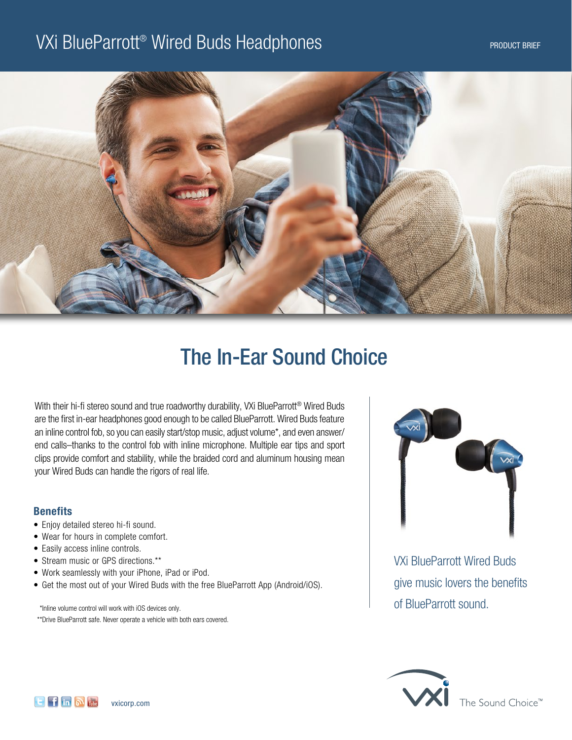## VXi BlueParrott® Wired Buds Headphones and the contract the contract selection of the product brief



# The In-Ear Sound Choice

With their hi-fi stereo sound and true roadworthy durability, VXi BlueParrott® Wired Buds are the first in-ear headphones good enough to be called BlueParrott. Wired Buds feature an inline control fob, so you can easily start/stop music, adjust volume\*, and even answer/ end calls–thanks to the control fob with inline microphone. Multiple ear tips and sport clips provide comfort and stability, while the braided cord and aluminum housing mean your Wired Buds can handle the rigors of real life.

### **Benefits**

- Enjoy detailed stereo hi-fi sound.
- Wear for hours in complete comfort.
- Easily access inline controls.
- Stream music or GPS directions.\*\*
- Work seamlessly with your iPhone, iPad or iPod.
- Get the most out of your Wired Buds with the free BlueParrott App (Android/iOS).

 \* Inline volume control will work with iOS devices only. \*\* Drive BlueParrott safe. Never operate a vehicle with both ears covered.



VXi BlueParrott Wired Buds give music lovers the benefits of BlueParrott sound.



The Sound Choice™

 $F$  in  $\mathbb{N}$  in vxicorp.com